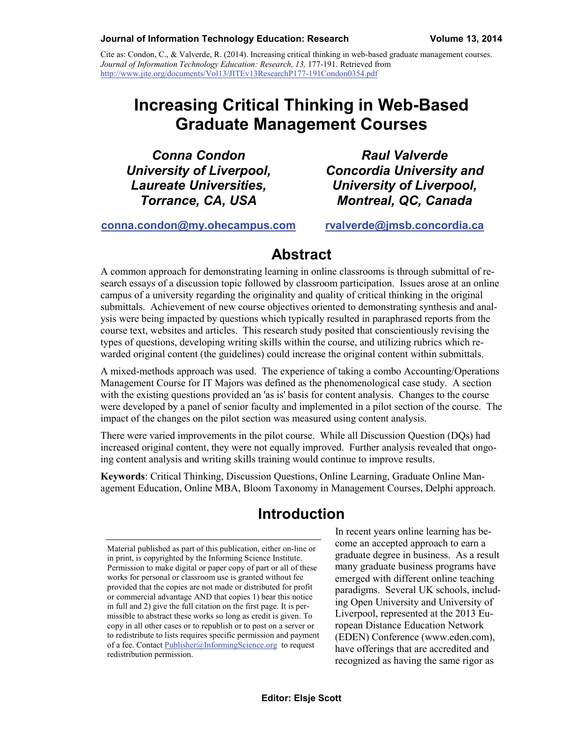#### **Journal of Information Technology Education: Research Volume 13, 2014**

Cite as: Condon, C., & Valverde, R. (2014). Increasing critical thinking in web-based graduate management courses. *Journal of Information Technology Education: Research, 13,* 177-191. Retrieved from <http://www.jite.org/documents/Vol13/JITEv13ResearchP177-191Condon0354.pdf>

# **Increasing Critical Thinking in Web-Based Graduate Management Courses**

*Conna Condon University of Liverpool, Laureate Universities, Torrance, CA, USA*

*Raul Valverde Concordia University and University of Liverpool, Montreal, QC, Canada*

**[conna.condon@my.ohecampus.com](mailto:Author1Email@address.edu)**

**[rvalverde@jmsb.concordia.ca](mailto:rvalverde@jmsb.concordia.ca)**

#### **Abstract**

A common approach for demonstrating learning in online classrooms is through submittal of research essays of a discussion topic followed by classroom participation. Issues arose at an online campus of a university regarding the originality and quality of critical thinking in the original submittals. Achievement of new course objectives oriented to demonstrating synthesis and analysis were being impacted by questions which typically resulted in paraphrased reports from the course text, websites and articles. This research study posited that conscientiously revising the types of questions, developing writing skills within the course, and utilizing rubrics which rewarded original content (the guidelines) could increase the original content within submittals.

A mixed-methods approach was used. The experience of taking a combo Accounting/Operations Management Course for IT Majors was defined as the phenomenological case study. A section with the existing questions provided an 'as is' basis for content analysis. Changes to the course were developed by a panel of senior faculty and implemented in a pilot section of the course. The impact of the changes on the pilot section was measured using content analysis.

There were varied improvements in the pilot course. While all Discussion Question (DQs) had increased original content, they were not equally improved. Further analysis revealed that ongoing content analysis and writing skills training would continue to improve results.

**Keywords**: Critical Thinking, Discussion Questions, Online Learning, Graduate Online Management Education, Online MBA, Bloom Taxonomy in Management Courses, Delphi approach.

### **Introduction**

In recent years online learning has become an accepted approach to earn a graduate degree in business. As a result many graduate business programs have emerged with different online teaching paradigms. Several UK schools, including Open University and University of Liverpool, represented at the 2013 European Distance Education Network (EDEN) Conference (www.eden.com), have offerings that are accredited and recognized as having the same rigor as

Material published as part of this publication, either on-line or in print, is copyrighted by the Informing Science Institute. Permission to make digital or paper copy of part or all of these works for personal or classroom use is granted without fee provided that the copies are not made or distributed for profit or commercial advantage AND that copies 1) bear this notice in full and 2) give the full citation on the first page. It is permissible to abstract these works so long as credit is given. To copy in all other cases or to republish or to post on a server or to redistribute to lists requires specific permission and payment of a fee. Contact [Publisher@InformingScience.org](mailto:Publisher@InformingScience.org) to request redistribution permission.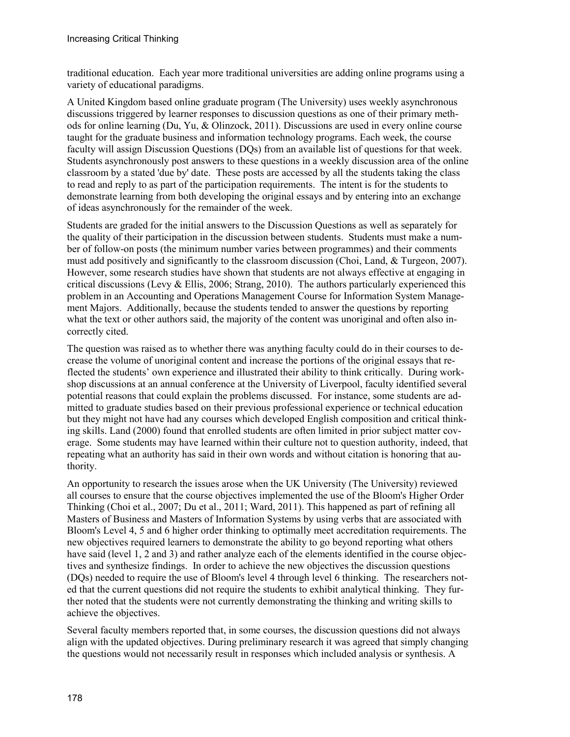traditional education. Each year more traditional universities are adding online programs using a variety of educational paradigms.

A United Kingdom based online graduate program (The University) uses weekly asynchronous discussions triggered by learner responses to discussion questions as one of their primary methods for online learning (Du, Yu, & Olinzock, 2011). Discussions are used in every online course taught for the graduate business and information technology programs. Each week, the course faculty will assign Discussion Questions (DQs) from an available list of questions for that week. Students asynchronously post answers to these questions in a weekly discussion area of the online classroom by a stated 'due by' date. These posts are accessed by all the students taking the class to read and reply to as part of the participation requirements. The intent is for the students to demonstrate learning from both developing the original essays and by entering into an exchange of ideas asynchronously for the remainder of the week.

Students are graded for the initial answers to the Discussion Questions as well as separately for the quality of their participation in the discussion between students. Students must make a number of follow-on posts (the minimum number varies between programmes) and their comments must add positively and significantly to the classroom discussion (Choi, Land, & Turgeon, 2007). However, some research studies have shown that students are not always effective at engaging in critical discussions (Levy  $\&$  Ellis, 2006; Strang, 2010). The authors particularly experienced this problem in an Accounting and Operations Management Course for Information System Management Majors. Additionally, because the students tended to answer the questions by reporting what the text or other authors said, the majority of the content was unoriginal and often also incorrectly cited.

The question was raised as to whether there was anything faculty could do in their courses to decrease the volume of unoriginal content and increase the portions of the original essays that reflected the students' own experience and illustrated their ability to think critically. During workshop discussions at an annual conference at the University of Liverpool, faculty identified several potential reasons that could explain the problems discussed. For instance, some students are admitted to graduate studies based on their previous professional experience or technical education but they might not have had any courses which developed English composition and critical thinking skills. Land (2000) found that enrolled students are often limited in prior subject matter coverage. Some students may have learned within their culture not to question authority, indeed, that repeating what an authority has said in their own words and without citation is honoring that authority.

An opportunity to research the issues arose when the UK University (The University) reviewed all courses to ensure that the course objectives implemented the use of the Bloom's Higher Order Thinking (Choi et al., 2007; Du et al., 2011; Ward, 2011). This happened as part of refining all Masters of Business and Masters of Information Systems by using verbs that are associated with Bloom's Level 4, 5 and 6 higher order thinking to optimally meet accreditation requirements. The new objectives required learners to demonstrate the ability to go beyond reporting what others have said (level 1, 2 and 3) and rather analyze each of the elements identified in the course objectives and synthesize findings. In order to achieve the new objectives the discussion questions (DQs) needed to require the use of Bloom's level 4 through level 6 thinking. The researchers noted that the current questions did not require the students to exhibit analytical thinking. They further noted that the students were not currently demonstrating the thinking and writing skills to achieve the objectives.

Several faculty members reported that, in some courses, the discussion questions did not always align with the updated objectives. During preliminary research it was agreed that simply changing the questions would not necessarily result in responses which included analysis or synthesis. A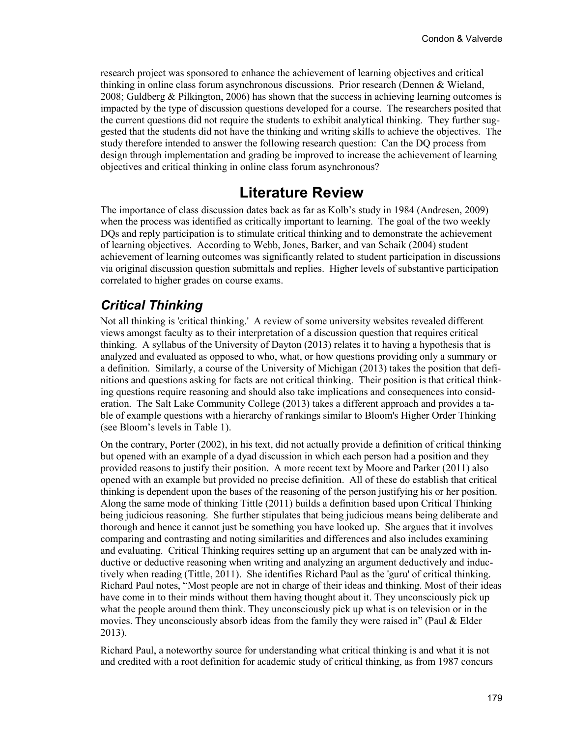research project was sponsored to enhance the achievement of learning objectives and critical thinking in online class forum asynchronous discussions. Prior research (Dennen & Wieland, 2008; Guldberg & Pilkington, 2006) has shown that the success in achieving learning outcomes is impacted by the type of discussion questions developed for a course. The researchers posited that the current questions did not require the students to exhibit analytical thinking. They further suggested that the students did not have the thinking and writing skills to achieve the objectives. The study therefore intended to answer the following research question: Can the DQ process from design through implementation and grading be improved to increase the achievement of learning objectives and critical thinking in online class forum asynchronous?

### **Literature Review**

The importance of class discussion dates back as far as Kolb's study in 1984 (Andresen, 2009) when the process was identified as critically important to learning. The goal of the two weekly DQs and reply participation is to stimulate critical thinking and to demonstrate the achievement of learning objectives. According to Webb, Jones, Barker, and van Schaik (2004) student achievement of learning outcomes was significantly related to student participation in discussions via original discussion question submittals and replies. Higher levels of substantive participation correlated to higher grades on course exams.

#### *Critical Thinking*

Not all thinking is 'critical thinking.' A review of some university websites revealed different views amongst faculty as to their interpretation of a discussion question that requires critical thinking. A syllabus of the University of Dayton (2013) relates it to having a hypothesis that is analyzed and evaluated as opposed to who, what, or how questions providing only a summary or a definition. Similarly, a course of the University of Michigan (2013) takes the position that definitions and questions asking for facts are not critical thinking. Their position is that critical thinking questions require reasoning and should also take implications and consequences into consideration. The Salt Lake Community College (2013) takes a different approach and provides a table of example questions with a hierarchy of rankings similar to Bloom's Higher Order Thinking (see Bloom's levels in Table 1).

On the contrary, Porter (2002), in his text, did not actually provide a definition of critical thinking but opened with an example of a dyad discussion in which each person had a position and they provided reasons to justify their position. A more recent text by Moore and Parker (2011) also opened with an example but provided no precise definition. All of these do establish that critical thinking is dependent upon the bases of the reasoning of the person justifying his or her position. Along the same mode of thinking Tittle (2011) builds a definition based upon Critical Thinking being judicious reasoning. She further stipulates that being judicious means being deliberate and thorough and hence it cannot just be something you have looked up. She argues that it involves comparing and contrasting and noting similarities and differences and also includes examining and evaluating. Critical Thinking requires setting up an argument that can be analyzed with inductive or deductive reasoning when writing and analyzing an argument deductively and inductively when reading (Tittle, 2011). She identifies Richard Paul as the 'guru' of critical thinking. Richard Paul notes, "Most people are not in charge of their ideas and thinking. Most of their ideas have come in to their minds without them having thought about it. They unconsciously pick up what the people around them think. They unconsciously pick up what is on television or in the movies. They unconsciously absorb ideas from the family they were raised in" (Paul  $\&$  Elder 2013).

Richard Paul, a noteworthy source for understanding what critical thinking is and what it is not and credited with a root definition for academic study of critical thinking, as from 1987 concurs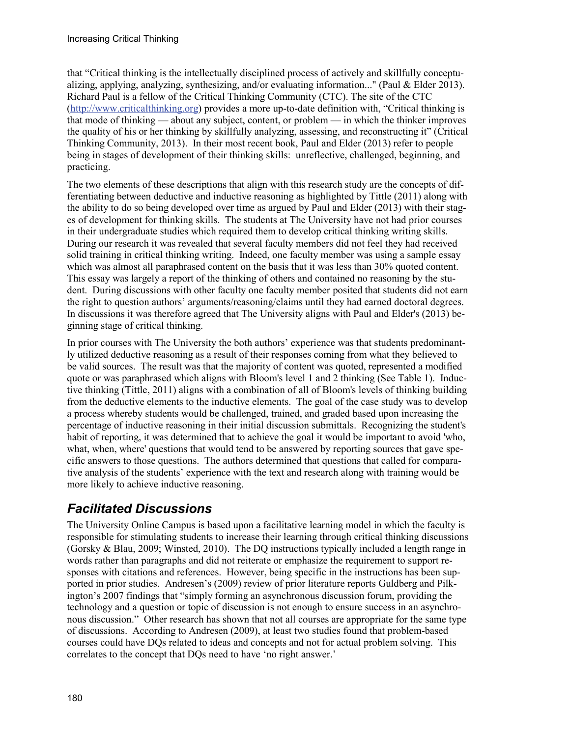that "Critical thinking is the intellectually disciplined process of actively and skillfully conceptualizing, applying, analyzing, synthesizing, and/or evaluating information..." (Paul  $\&$  Elder 2013). Richard Paul is a fellow of the Critical Thinking Community (CTC). The site of the CTC [\(http://www.criticalthinking.org\)](http://www.criticalthinking.org/) provides a more up-to-date definition with, "Critical thinking is that mode of thinking — about any subject, content, or problem — in which the thinker improves the quality of his or her thinking by skillfully analyzing, assessing, and reconstructing it" (Critical Thinking Community, 2013). In their most recent book, Paul and Elder (2013) refer to people being in stages of development of their thinking skills: unreflective, challenged, beginning, and practicing.

The two elements of these descriptions that align with this research study are the concepts of differentiating between deductive and inductive reasoning as highlighted by Tittle (2011) along with the ability to do so being developed over time as argued by Paul and Elder (2013) with their stages of development for thinking skills. The students at The University have not had prior courses in their undergraduate studies which required them to develop critical thinking writing skills. During our research it was revealed that several faculty members did not feel they had received solid training in critical thinking writing. Indeed, one faculty member was using a sample essay which was almost all paraphrased content on the basis that it was less than 30% quoted content. This essay was largely a report of the thinking of others and contained no reasoning by the student. During discussions with other faculty one faculty member posited that students did not earn the right to question authors' arguments/reasoning/claims until they had earned doctoral degrees. In discussions it was therefore agreed that The University aligns with Paul and Elder's (2013) beginning stage of critical thinking.

In prior courses with The University the both authors' experience was that students predominantly utilized deductive reasoning as a result of their responses coming from what they believed to be valid sources. The result was that the majority of content was quoted, represented a modified quote or was paraphrased which aligns with Bloom's level 1 and 2 thinking (See Table 1). Inductive thinking (Tittle, 2011) aligns with a combination of all of Bloom's levels of thinking building from the deductive elements to the inductive elements. The goal of the case study was to develop a process whereby students would be challenged, trained, and graded based upon increasing the percentage of inductive reasoning in their initial discussion submittals. Recognizing the student's habit of reporting, it was determined that to achieve the goal it would be important to avoid 'who, what, when, where' questions that would tend to be answered by reporting sources that gave specific answers to those questions. The authors determined that questions that called for comparative analysis of the students' experience with the text and research along with training would be more likely to achieve inductive reasoning.

#### *Facilitated Discussions*

The University Online Campus is based upon a facilitative learning model in which the faculty is responsible for stimulating students to increase their learning through critical thinking discussions (Gorsky & Blau, 2009; Winsted, 2010). The DQ instructions typically included a length range in words rather than paragraphs and did not reiterate or emphasize the requirement to support responses with citations and references. However, being specific in the instructions has been supported in prior studies. Andresen's (2009) review of prior literature reports Guldberg and Pilkington's 2007 findings that "simply forming an asynchronous discussion forum, providing the technology and a question or topic of discussion is not enough to ensure success in an asynchronous discussion." Other research has shown that not all courses are appropriate for the same type of discussions. According to Andresen (2009), at least two studies found that problem-based courses could have DQs related to ideas and concepts and not for actual problem solving. This correlates to the concept that DQs need to have 'no right answer.'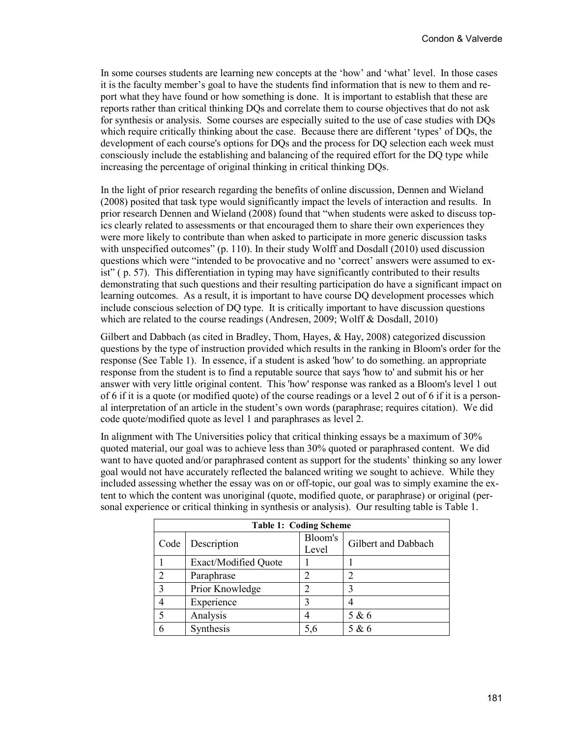In some courses students are learning new concepts at the 'how' and 'what' level. In those cases it is the faculty member's goal to have the students find information that is new to them and report what they have found or how something is done. It is important to establish that these are reports rather than critical thinking DQs and correlate them to course objectives that do not ask for synthesis or analysis. Some courses are especially suited to the use of case studies with DQs which require critically thinking about the case. Because there are different 'types' of DQs, the development of each course's options for DQs and the process for DQ selection each week must consciously include the establishing and balancing of the required effort for the DQ type while increasing the percentage of original thinking in critical thinking DQs.

In the light of prior research regarding the benefits of online discussion, Dennen and Wieland (2008) posited that task type would significantly impact the levels of interaction and results. In prior research Dennen and Wieland (2008) found that "when students were asked to discuss topics clearly related to assessments or that encouraged them to share their own experiences they were more likely to contribute than when asked to participate in more generic discussion tasks with unspecified outcomes" (p. 110). In their study Wolff and Dosdall (2010) used discussion questions which were "intended to be provocative and no 'correct' answers were assumed to exist" ( p. 57). This differentiation in typing may have significantly contributed to their results demonstrating that such questions and their resulting participation do have a significant impact on learning outcomes. As a result, it is important to have course DQ development processes which include conscious selection of DQ type. It is critically important to have discussion questions which are related to the course readings (Andresen, 2009; Wolff & Dosdall, 2010)

Gilbert and Dabbach (as cited in Bradley, Thom, Hayes, & Hay, 2008) categorized discussion questions by the type of instruction provided which results in the ranking in Bloom's order for the response (See Table 1). In essence, if a student is asked 'how' to do something. an appropriate response from the student is to find a reputable source that says 'how to' and submit his or her answer with very little original content. This 'how' response was ranked as a Bloom's level 1 out of 6 if it is a quote (or modified quote) of the course readings or a level 2 out of 6 if it is a personal interpretation of an article in the student's own words (paraphrase; requires citation). We did code quote/modified quote as level 1 and paraphrases as level 2.

In alignment with The Universities policy that critical thinking essays be a maximum of 30% quoted material, our goal was to achieve less than 30% quoted or paraphrased content. We did want to have quoted and/or paraphrased content as support for the students' thinking so any lower goal would not have accurately reflected the balanced writing we sought to achieve. While they included assessing whether the essay was on or off-topic, our goal was to simply examine the extent to which the content was unoriginal (quote, modified quote, or paraphrase) or original (personal experience or critical thinking in synthesis or analysis). Our resulting table is Table 1.

| <b>Table 1: Coding Scheme</b> |                             |                  |                     |  |  |
|-------------------------------|-----------------------------|------------------|---------------------|--|--|
| Code                          | Description                 | Bloom's<br>Level | Gilbert and Dabbach |  |  |
|                               | <b>Exact/Modified Quote</b> |                  |                     |  |  |
| $\mathfrak{D}$                | Paraphrase                  |                  |                     |  |  |
| 3                             | Prior Knowledge             | 2                |                     |  |  |
| 4                             | Experience                  | 3                |                     |  |  |
| 5                             | Analysis                    |                  | 5 & 6               |  |  |
| 6                             | Synthesis                   | 5,6              | 5 & 6               |  |  |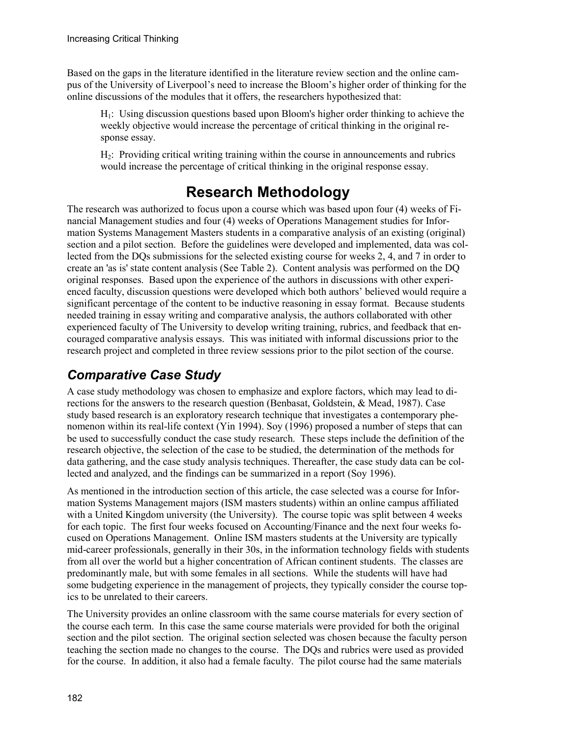Based on the gaps in the literature identified in the literature review section and the online campus of the University of Liverpool's need to increase the Bloom's higher order of thinking for the online discussions of the modules that it offers, the researchers hypothesized that:

H1: Using discussion questions based upon Bloom's higher order thinking to achieve the weekly objective would increase the percentage of critical thinking in the original response essay.

H2: Providing critical writing training within the course in announcements and rubrics would increase the percentage of critical thinking in the original response essay.

# **Research Methodology**

The research was authorized to focus upon a course which was based upon four (4) weeks of Financial Management studies and four (4) weeks of Operations Management studies for Information Systems Management Masters students in a comparative analysis of an existing (original) section and a pilot section. Before the guidelines were developed and implemented, data was collected from the DQs submissions for the selected existing course for weeks 2, 4, and 7 in order to create an 'as is' state content analysis (See Table 2). Content analysis was performed on the DQ original responses. Based upon the experience of the authors in discussions with other experienced faculty, discussion questions were developed which both authors' believed would require a significant percentage of the content to be inductive reasoning in essay format. Because students needed training in essay writing and comparative analysis, the authors collaborated with other experienced faculty of The University to develop writing training, rubrics, and feedback that encouraged comparative analysis essays. This was initiated with informal discussions prior to the research project and completed in three review sessions prior to the pilot section of the course.

### *Comparative Case Study*

A case study methodology was chosen to emphasize and explore factors, which may lead to directions for the answers to the research question (Benbasat, Goldstein, & Mead, 1987). Case study based research is an exploratory research technique that investigates a contemporary phenomenon within its real-life context (Yin 1994). Soy (1996) proposed a number of steps that can be used to successfully conduct the case study research. These steps include the definition of the research objective, the selection of the case to be studied, the determination of the methods for data gathering, and the case study analysis techniques. Thereafter, the case study data can be collected and analyzed, and the findings can be summarized in a report (Soy 1996).

As mentioned in the introduction section of this article, the case selected was a course for Information Systems Management majors (ISM masters students) within an online campus affiliated with a United Kingdom university (the University). The course topic was split between 4 weeks for each topic. The first four weeks focused on Accounting/Finance and the next four weeks focused on Operations Management. Online ISM masters students at the University are typically mid-career professionals, generally in their 30s, in the information technology fields with students from all over the world but a higher concentration of African continent students. The classes are predominantly male, but with some females in all sections. While the students will have had some budgeting experience in the management of projects, they typically consider the course topics to be unrelated to their careers.

The University provides an online classroom with the same course materials for every section of the course each term. In this case the same course materials were provided for both the original section and the pilot section. The original section selected was chosen because the faculty person teaching the section made no changes to the course. The DQs and rubrics were used as provided for the course. In addition, it also had a female faculty. The pilot course had the same materials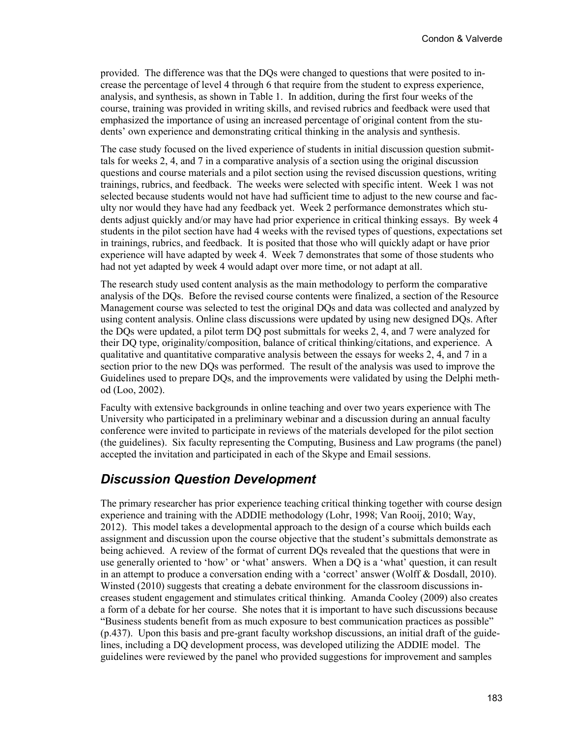provided. The difference was that the DQs were changed to questions that were posited to increase the percentage of level 4 through 6 that require from the student to express experience, analysis, and synthesis, as shown in Table 1. In addition, during the first four weeks of the course, training was provided in writing skills, and revised rubrics and feedback were used that emphasized the importance of using an increased percentage of original content from the students' own experience and demonstrating critical thinking in the analysis and synthesis.

The case study focused on the lived experience of students in initial discussion question submittals for weeks 2, 4, and 7 in a comparative analysis of a section using the original discussion questions and course materials and a pilot section using the revised discussion questions, writing trainings, rubrics, and feedback. The weeks were selected with specific intent. Week 1 was not selected because students would not have had sufficient time to adjust to the new course and faculty nor would they have had any feedback yet. Week 2 performance demonstrates which students adjust quickly and/or may have had prior experience in critical thinking essays. By week 4 students in the pilot section have had 4 weeks with the revised types of questions, expectations set in trainings, rubrics, and feedback. It is posited that those who will quickly adapt or have prior experience will have adapted by week 4. Week 7 demonstrates that some of those students who had not yet adapted by week 4 would adapt over more time, or not adapt at all.

The research study used content analysis as the main methodology to perform the comparative analysis of the DQs. Before the revised course contents were finalized, a section of the Resource Management course was selected to test the original DQs and data was collected and analyzed by using content analysis. Online class discussions were updated by using new designed DQs. After the DQs were updated, a pilot term DQ post submittals for weeks 2, 4, and 7 were analyzed for their DQ type, originality/composition, balance of critical thinking/citations, and experience. A qualitative and quantitative comparative analysis between the essays for weeks 2, 4, and 7 in a section prior to the new DQs was performed. The result of the analysis was used to improve the Guidelines used to prepare DQs, and the improvements were validated by using the Delphi method (Loo, 2002).

Faculty with extensive backgrounds in online teaching and over two years experience with The University who participated in a preliminary webinar and a discussion during an annual faculty conference were invited to participate in reviews of the materials developed for the pilot section (the guidelines). Six faculty representing the Computing, Business and Law programs (the panel) accepted the invitation and participated in each of the Skype and Email sessions.

#### *Discussion Question Development*

The primary researcher has prior experience teaching critical thinking together with course design experience and training with the ADDIE methodology (Lohr, 1998; Van Rooij, 2010; Way, 2012). This model takes a developmental approach to the design of a course which builds each assignment and discussion upon the course objective that the student's submittals demonstrate as being achieved. A review of the format of current DQs revealed that the questions that were in use generally oriented to 'how' or 'what' answers. When a DQ is a 'what' question, it can result in an attempt to produce a conversation ending with a 'correct' answer (Wolff & Dosdall, 2010). Winsted (2010) suggests that creating a debate environment for the classroom discussions increases student engagement and stimulates critical thinking. Amanda Cooley (2009) also creates a form of a debate for her course. She notes that it is important to have such discussions because "Business students benefit from as much exposure to best communication practices as possible" (p.437). Upon this basis and pre-grant faculty workshop discussions, an initial draft of the guidelines, including a DQ development process, was developed utilizing the ADDIE model. The guidelines were reviewed by the panel who provided suggestions for improvement and samples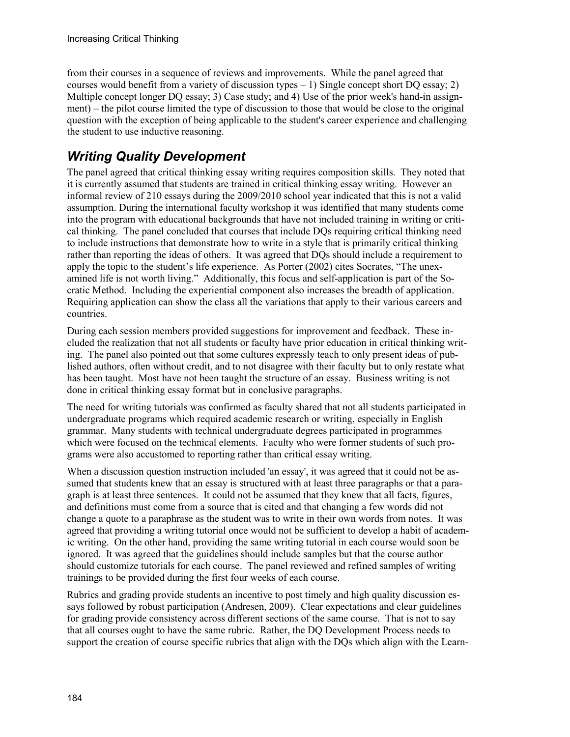from their courses in a sequence of reviews and improvements. While the panel agreed that courses would benefit from a variety of discussion types – 1) Single concept short DQ essay; 2) Multiple concept longer DQ essay; 3) Case study; and 4) Use of the prior week's hand-in assignment) – the pilot course limited the type of discussion to those that would be close to the original question with the exception of being applicable to the student's career experience and challenging the student to use inductive reasoning.

### *Writing Quality Development*

The panel agreed that critical thinking essay writing requires composition skills. They noted that it is currently assumed that students are trained in critical thinking essay writing. However an informal review of 210 essays during the 2009/2010 school year indicated that this is not a valid assumption. During the international faculty workshop it was identified that many students come into the program with educational backgrounds that have not included training in writing or critical thinking. The panel concluded that courses that include DQs requiring critical thinking need to include instructions that demonstrate how to write in a style that is primarily critical thinking rather than reporting the ideas of others. It was agreed that DQs should include a requirement to apply the topic to the student's life experience. As Porter (2002) cites Socrates, "The unexamined life is not worth living." Additionally, this focus and self-application is part of the Socratic Method. Including the experiential component also increases the breadth of application. Requiring application can show the class all the variations that apply to their various careers and countries.

During each session members provided suggestions for improvement and feedback. These included the realization that not all students or faculty have prior education in critical thinking writing. The panel also pointed out that some cultures expressly teach to only present ideas of published authors, often without credit, and to not disagree with their faculty but to only restate what has been taught. Most have not been taught the structure of an essay. Business writing is not done in critical thinking essay format but in conclusive paragraphs.

The need for writing tutorials was confirmed as faculty shared that not all students participated in undergraduate programs which required academic research or writing, especially in English grammar. Many students with technical undergraduate degrees participated in programmes which were focused on the technical elements. Faculty who were former students of such programs were also accustomed to reporting rather than critical essay writing.

When a discussion question instruction included 'an essay', it was agreed that it could not be assumed that students knew that an essay is structured with at least three paragraphs or that a paragraph is at least three sentences. It could not be assumed that they knew that all facts, figures, and definitions must come from a source that is cited and that changing a few words did not change a quote to a paraphrase as the student was to write in their own words from notes. It was agreed that providing a writing tutorial once would not be sufficient to develop a habit of academic writing. On the other hand, providing the same writing tutorial in each course would soon be ignored. It was agreed that the guidelines should include samples but that the course author should customize tutorials for each course. The panel reviewed and refined samples of writing trainings to be provided during the first four weeks of each course.

Rubrics and grading provide students an incentive to post timely and high quality discussion essays followed by robust participation (Andresen, 2009). Clear expectations and clear guidelines for grading provide consistency across different sections of the same course. That is not to say that all courses ought to have the same rubric. Rather, the DQ Development Process needs to support the creation of course specific rubrics that align with the DQs which align with the Learn-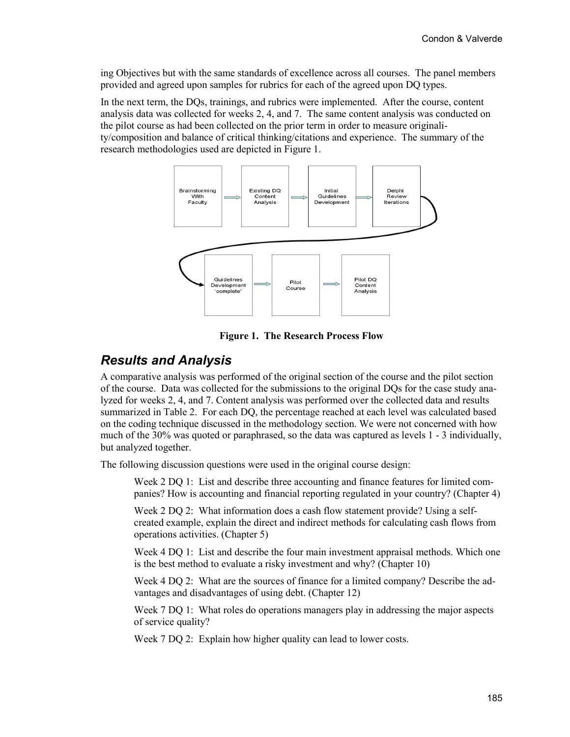ing Objectives but with the same standards of excellence across all courses. The panel members provided and agreed upon samples for rubrics for each of the agreed upon DQ types.

In the next term, the DQs, trainings, and rubrics were implemented. After the course, content analysis data was collected for weeks 2, 4, and 7. The same content analysis was conducted on the pilot course as had been collected on the prior term in order to measure originality/composition and balance of critical thinking/citations and experience. The summary of the research methodologies used are depicted in Figure 1.



**Figure 1. The Research Process Flow**

#### *Results and Analysis*

A comparative analysis was performed of the original section of the course and the pilot section of the course. Data was collected for the submissions to the original DQs for the case study analyzed for weeks 2, 4, and 7. Content analysis was performed over the collected data and results summarized in Table 2. For each DQ, the percentage reached at each level was calculated based on the coding technique discussed in the methodology section. We were not concerned with how much of the 30% was quoted or paraphrased, so the data was captured as levels 1 - 3 individually, but analyzed together.

The following discussion questions were used in the original course design:

Week 2 DO 1: List and describe three accounting and finance features for limited companies? How is accounting and financial reporting regulated in your country? (Chapter 4)

Week 2 DQ 2: What information does a cash flow statement provide? Using a selfcreated example, explain the direct and indirect methods for calculating cash flows from operations activities. (Chapter 5)

Week 4 DQ 1: List and describe the four main investment appraisal methods. Which one is the best method to evaluate a risky investment and why? (Chapter 10)

Week 4 DO 2: What are the sources of finance for a limited company? Describe the advantages and disadvantages of using debt. (Chapter 12)

Week 7 DQ 1: What roles do operations managers play in addressing the major aspects of service quality?

Week 7 DQ 2: Explain how higher quality can lead to lower costs.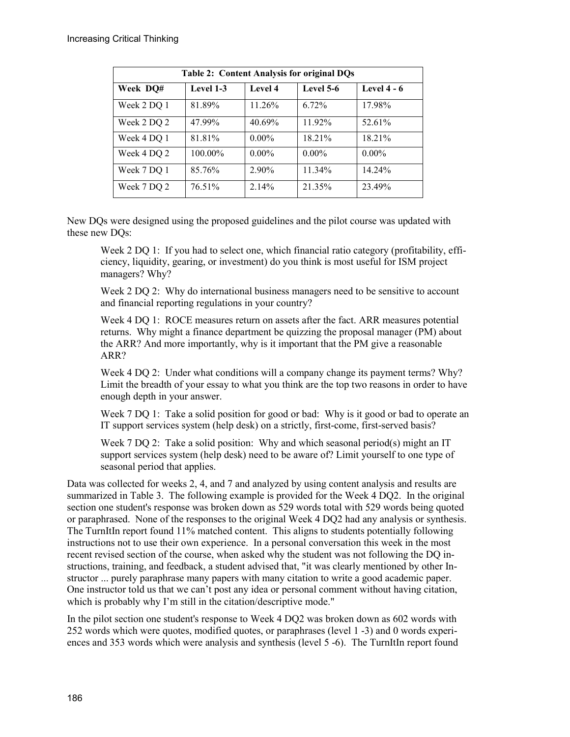| <b>Table 2: Content Analysis for original DQs</b> |           |          |           |               |  |
|---------------------------------------------------|-----------|----------|-----------|---------------|--|
| Week DQ#                                          | Level 1-3 | Level 4  | Level 5-6 | Level $4 - 6$ |  |
| Week 2 DQ 1                                       | 81.89%    | 11.26%   | 6.72%     | 17.98%        |  |
| Week 2 DQ 2                                       | 47.99%    | 40.69%   | 11.92%    | 52.61%        |  |
| Week 4 DQ 1                                       | 81.81%    | $0.00\%$ | 18.21%    | 18.21%        |  |
| Week 4 DQ 2                                       | 100.00%   | $0.00\%$ | $0.00\%$  | $0.00\%$      |  |
| Week 7 DQ 1                                       | 85.76%    | 2.90%    | 11.34%    | 14.24%        |  |
| Week 7 DQ 2                                       | 76.51%    | 2.14%    | 21.35%    | 23.49%        |  |

New DQs were designed using the proposed guidelines and the pilot course was updated with these new DQs:

Week 2 DO 1: If you had to select one, which financial ratio category (profitability, efficiency, liquidity, gearing, or investment) do you think is most useful for ISM project managers? Why?

Week 2 DQ 2: Why do international business managers need to be sensitive to account and financial reporting regulations in your country?

Week 4 DQ 1: ROCE measures return on assets after the fact. ARR measures potential returns. Why might a finance department be quizzing the proposal manager (PM) about the ARR? And more importantly, why is it important that the PM give a reasonable ARR?

Week 4 DQ 2: Under what conditions will a company change its payment terms? Why? Limit the breadth of your essay to what you think are the top two reasons in order to have enough depth in your answer.

Week 7 DQ 1: Take a solid position for good or bad: Why is it good or bad to operate an IT support services system (help desk) on a strictly, first-come, first-served basis?

Week 7 DQ 2: Take a solid position: Why and which seasonal period(s) might an IT support services system (help desk) need to be aware of? Limit yourself to one type of seasonal period that applies.

Data was collected for weeks 2, 4, and 7 and analyzed by using content analysis and results are summarized in Table 3. The following example is provided for the Week 4 DQ2. In the original section one student's response was broken down as 529 words total with 529 words being quoted or paraphrased. None of the responses to the original Week 4 DQ2 had any analysis or synthesis. The TurnItIn report found 11% matched content. This aligns to students potentially following instructions not to use their own experience. In a personal conversation this week in the most recent revised section of the course, when asked why the student was not following the DQ instructions, training, and feedback, a student advised that, "it was clearly mentioned by other Instructor ... purely paraphrase many papers with many citation to write a good academic paper. One instructor told us that we can't post any idea or personal comment without having citation, which is probably why I'm still in the citation/descriptive mode."

In the pilot section one student's response to Week 4 DQ2 was broken down as 602 words with 252 words which were quotes, modified quotes, or paraphrases (level 1 -3) and 0 words experiences and 353 words which were analysis and synthesis (level 5 -6). The TurnItIn report found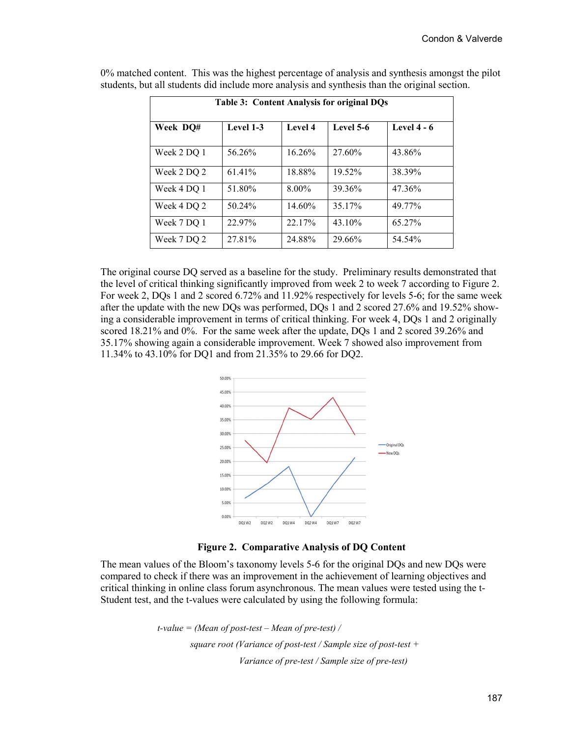| Table 3: Content Analysis for original DQs |           |          |           |               |  |
|--------------------------------------------|-----------|----------|-----------|---------------|--|
| Week DO#                                   | Level 1-3 | Level 4  | Level 5-6 | Level $4 - 6$ |  |
| Week 2 DQ 1                                | 56.26%    | 16.26%   | 27.60%    | 43.86%        |  |
| Week 2 DQ 2                                | 61.41%    | 18.88%   | 19.52%    | 38.39%        |  |
| Week 4 DQ 1                                | 51.80%    | $8.00\%$ | 39.36%    | 47.36%        |  |
| Week 4 DQ 2                                | 50.24%    | 14.60%   | 35.17%    | 49 77%        |  |
| Week 7 DQ 1                                | 22.97%    | 22.17%   | $43.10\%$ | 65.27%        |  |
| Week 7 DO 2                                | 27 81%    | 24.88%   | 29.66%    | 54.54%        |  |

0% matched content. This was the highest percentage of analysis and synthesis amongst the pilot students, but all students did include more analysis and synthesis than the original section.

The original course DQ served as a baseline for the study. Preliminary results demonstrated that the level of critical thinking significantly improved from week 2 to week 7 according to Figure 2. For week 2, DQs 1 and 2 scored 6.72% and 11.92% respectively for levels 5-6; for the same week after the update with the new DQs was performed, DQs 1 and 2 scored 27.6% and 19.52% showing a considerable improvement in terms of critical thinking. For week 4, DQs 1 and 2 originally scored 18.21% and 0%. For the same week after the update, DQs 1 and 2 scored 39.26% and 35.17% showing again a considerable improvement. Week 7 showed also improvement from 11.34% to 43.10% for DQ1 and from 21.35% to 29.66 for DQ2.





The mean values of the Bloom's taxonomy levels 5-6 for the original DQs and new DQs were compared to check if there was an improvement in the achievement of learning objectives and critical thinking in online class forum asynchronous. The mean values were tested using the t-Student test, and the t-values were calculated by using the following formula:

> *t-value = (Mean of post-test – Mean of pre-test) / square root (Variance of post-test / Sample size of post-test + Variance of pre-test / Sample size of pre-test)*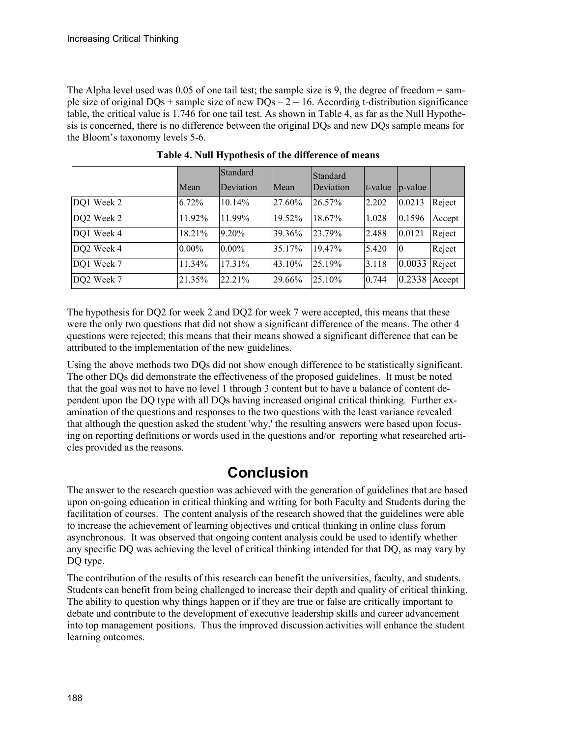The Alpha level used was 0.05 of one tail test; the sample size is 9, the degree of freedom = sample size of original  $DQs$  + sample size of new  $DQs - 2 = 16$ . According t-distribution significance table, the critical value is 1.746 for one tail test. As shown in Table 4, as far as the Null Hypothesis is concerned, there is no difference between the original DQs and new DQs sample means for the Bloom's taxonomy levels 5-6.

|            | Mean     | <b>Standard</b><br>Deviation | Mean   | <b>Standard</b><br>Deviation | t-value | $ p-value $     |        |
|------------|----------|------------------------------|--------|------------------------------|---------|-----------------|--------|
| DQ1 Week 2 | 6.72%    | 10.14%                       | 27.60% | 26.57%                       | 2.202   | 0.0213          | Reject |
| DQ2 Week 2 | 11.92%   | 11.99%                       | 19.52% | 18.67%                       | 1.028   | 0.1596          | Accept |
| DQ1 Week 4 | 18.21%   | 9.20%                        | 39.36% | 23.79%                       | 2.488   | 0.0121          | Reject |
| DQ2 Week 4 | $0.00\%$ | $0.00\%$                     | 35.17% | 19.47%                       | 5.420   | 10              | Reject |
| DQ1 Week 7 | 11.34%   | 17.31%                       | 43.10% | 25.19%                       | 3.118   | 0.0033          | Reject |
| DQ2 Week 7 | 21.35%   | 22.21%                       | 29.66% | 25.10%                       | 0.744   | $0.2338$ Accept |        |

**Table 4. Null Hypothesis of the difference of means**

The hypothesis for DQ2 for week 2 and DQ2 for week 7 were accepted, this means that these were the only two questions that did not show a significant difference of the means. The other 4 questions were rejected; this means that their means showed a significant difference that can be attributed to the implementation of the new guidelines.

Using the above methods two DQs did not show enough difference to be statistically significant. The other DQs did demonstrate the effectiveness of the proposed guidelines. It must be noted that the goal was not to have no level 1 through 3 content but to have a balance of content dependent upon the DQ type with all DQs having increased original critical thinking. Further examination of the questions and responses to the two questions with the least variance revealed that although the question asked the student 'why,' the resulting answers were based upon focusing on reporting definitions or words used in the questions and/or reporting what researched articles provided as the reasons.

### **Conclusion**

The answer to the research question was achieved with the generation of guidelines that are based upon on-going education in critical thinking and writing for both Faculty and Students during the facilitation of courses. The content analysis of the research showed that the guidelines were able to increase the achievement of learning objectives and critical thinking in online class forum asynchronous. It was observed that ongoing content analysis could be used to identify whether any specific DQ was achieving the level of critical thinking intended for that DQ, as may vary by DQ type.

The contribution of the results of this research can benefit the universities, faculty, and students. Students can benefit from being challenged to increase their depth and quality of critical thinking. The ability to question why things happen or if they are true or false are critically important to debate and contribute to the development of executive leadership skills and career advancement into top management positions. Thus the improved discussion activities will enhance the student learning outcomes.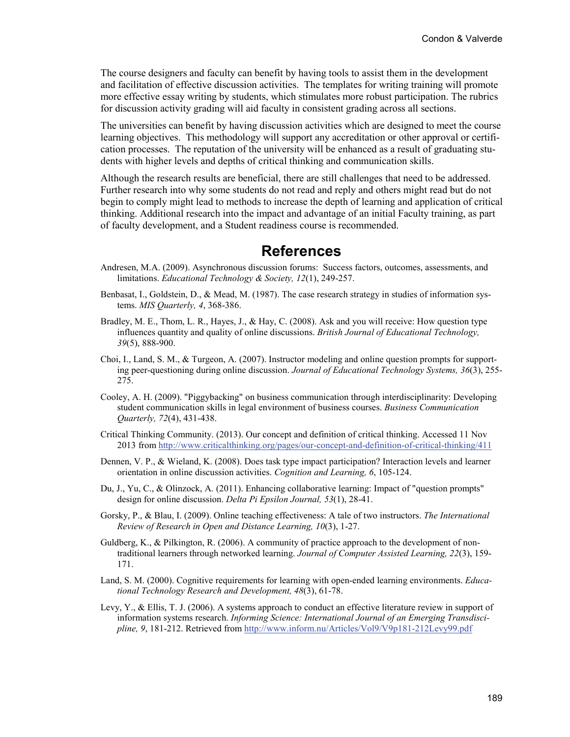The course designers and faculty can benefit by having tools to assist them in the development and facilitation of effective discussion activities. The templates for writing training will promote more effective essay writing by students, which stimulates more robust participation. The rubrics for discussion activity grading will aid faculty in consistent grading across all sections.

The universities can benefit by having discussion activities which are designed to meet the course learning objectives. This methodology will support any accreditation or other approval or certification processes. The reputation of the university will be enhanced as a result of graduating students with higher levels and depths of critical thinking and communication skills.

Although the research results are beneficial, there are still challenges that need to be addressed. Further research into why some students do not read and reply and others might read but do not begin to comply might lead to methods to increase the depth of learning and application of critical thinking. Additional research into the impact and advantage of an initial Faculty training, as part of faculty development, and a Student readiness course is recommended.

#### **References**

- Andresen, M.A. (2009). Asynchronous discussion forums: Success factors, outcomes, assessments, and limitations. *Educational Technology & Society, 12*(1), 249-257.
- Benbasat, I., Goldstein, D., & Mead, M. (1987). The case research strategy in studies of information systems. *MIS Quarterly, 4*, 368-386.
- Bradley, M. E., Thom, L. R., Hayes, J., & Hay, C. (2008). Ask and you will receive: How question type influences quantity and quality of online discussions. *British Journal of Educational Technology, 39*(5), 888-900.
- Choi, I., Land, S. M., & Turgeon, A. (2007). Instructor modeling and online question prompts for supporting peer-questioning during online discussion. *Journal of Educational Technology Systems, 36*(3), 255- 275.
- Cooley, A. H. (2009). "Piggybacking" on business communication through interdisciplinarity: Developing student communication skills in legal environment of business courses. *Business Communication Quarterly, 72*(4), 431-438.
- Critical Thinking Community. (2013). Our concept and definition of critical thinking. Accessed 11 Nov 2013 from <http://www.criticalthinking.org/pages/our-concept-and-definition-of-critical-thinking/411>
- Dennen, V. P., & Wieland, K. (2008). Does task type impact participation? Interaction levels and learner orientation in online discussion activities. *Cognition and Learning, 6*, 105-124.
- Du, J., Yu, C., & Olinzock, A. (2011). Enhancing collaborative learning: Impact of "question prompts" design for online discussion. *Delta Pi Epsilon Journal, 53*(1), 28-41.
- Gorsky, P., & Blau, I. (2009). Online teaching effectiveness: A tale of two instructors. *The International Review of Research in Open and Distance Learning, 10*(3), 1-27.
- Guldberg, K., & Pilkington, R. (2006). A community of practice approach to the development of nontraditional learners through networked learning. *Journal of Computer Assisted Learning, 22*(3), 159- 171.
- Land, S. M. (2000). Cognitive requirements for learning with open-ended learning environments. *Educational Technology Research and Development, 48*(3), 61-78.
- Levy, Y., & Ellis, T. J. (2006). A systems approach to conduct an effective literature review in support of information systems research. *Informing Science: International Journal of an Emerging Transdiscipline, 9*, 181-212. Retrieved fro[m http://www.inform.nu/Articles/Vol9/V9p181-212Levy99.pdf](http://www.inform.nu/Articles/Vol9/V9p181-212Levy99.pdf)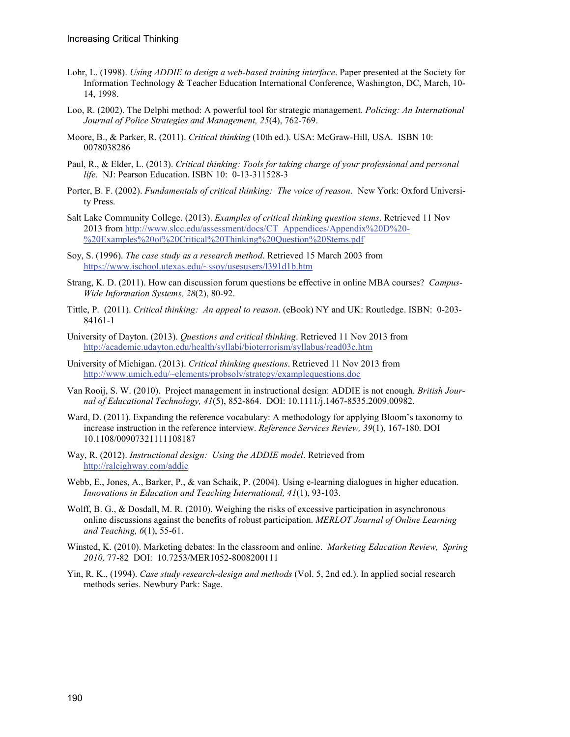- Lohr, L. (1998). *Using ADDIE to design a web-based training interface*. Paper presented at the Society for Information Technology & Teacher Education International Conference, Washington, DC, March, 10- 14, 1998.
- Loo, R. (2002). The Delphi method: A powerful tool for strategic management. *Policing: An International Journal of Police Strategies and Management, 25*(4), 762-769.
- Moore, B., & Parker, R. (2011). *Critical thinking* (10th ed.). USA: McGraw-Hill, USA. ISBN 10: 0078038286
- Paul, R., & Elder, L. (2013). *Critical thinking: Tools for taking charge of your professional and personal life*. NJ: Pearson Education. ISBN 10: 0-13-311528-3
- Porter, B. F. (2002). *Fundamentals of critical thinking: The voice of reason*. New York: Oxford University Press.
- Salt Lake Community College. (2013). *Examples of critical thinking question stems*. Retrieved 11 Nov 2013 fro[m http://www.slcc.edu/assessment/docs/CT\\_Appendices/Appendix%20D%20-](http://www.slcc.edu/assessment/docs/CT_Appendices/Appendix%20D%20-%20Examples%20of%20Critical%20Thinking%20Question%20Stems.pdf) [%20Examples%20of%20Critical%20Thinking%20Question%20Stems.pdf](http://www.slcc.edu/assessment/docs/CT_Appendices/Appendix%20D%20-%20Examples%20of%20Critical%20Thinking%20Question%20Stems.pdf)
- Soy, S. (1996). *The case study as a research method*. Retrieved 15 March 2003 from <https://www.ischool.utexas.edu/~ssoy/usesusers/l391d1b.htm>
- Strang, K. D. (2011). How can discussion forum questions be effective in online MBA courses? *Campus-Wide Information Systems, 28*(2), 80-92.
- Tittle, P. (2011). *Critical thinking: An appeal to reason*. (eBook) NY and UK: Routledge. ISBN: 0-203- 84161-1
- University of Dayton. (2013). *Questions and critical thinking*. Retrieved 11 Nov 2013 from <http://academic.udayton.edu/health/syllabi/bioterrorism/syllabus/read03c.htm>
- University of Michigan. (2013). *Critical thinking questions*. Retrieved 11 Nov 2013 from <http://www.umich.edu/~elements/probsolv/strategy/examplequestions.doc>
- Van Rooij, S. W. (2010). Project management in instructional design: ADDIE is not enough. *British Journal of Educational Technology, 41*(5), 852-864. DOI: 10.1111/j.1467-8535.2009.00982.
- Ward, D. (2011). Expanding the reference vocabulary: A methodology for applying Bloom's taxonomy to increase instruction in the reference interview. *Reference Services Review, 39*(1), 167-180. DOI 10.1108/00907321111108187
- Way, R. (2012). *Instructional design: Using the ADDIE model*. Retrieved from <http://raleighway.com/addie>
- Webb, E., Jones, A., Barker, P., & van Schaik, P. (2004). Using e-learning dialogues in higher education. *Innovations in Education and Teaching International, 41*(1), 93-103.
- Wolff, B. G., & Dosdall, M. R. (2010). Weighing the risks of excessive participation in asynchronous online discussions against the benefits of robust participation. *MERLOT Journal of Online Learning and Teaching, 6*(1), 55-61.
- Winsted, K. (2010). Marketing debates: In the classroom and online. *Marketing Education Review, Spring 2010,* 77-82 DOI: 10.7253/MER1052-8008200111
- Yin, R. K., (1994). *Case study research-design and methods* (Vol. 5, 2nd ed.). In applied social research methods series. Newbury Park: Sage.